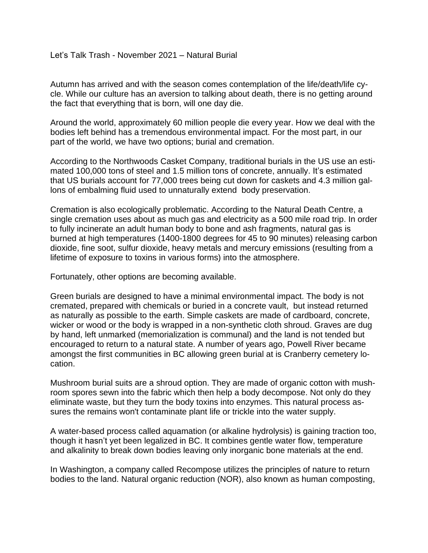Autumn has arrived and with the season comes contemplation of the life/death/life cycle. While our culture has an aversion to talking about death, there is no getting around the fact that everything that is born, will one day die.

Around the world, approximately 60 million people die every year. How we deal with the bodies left behind has a tremendous environmental impact. For the most part, in our part of the world, we have two options; burial and cremation.

According to the Northwoods Casket Company, traditional burials in the US use an estimated 100,000 tons of steel and 1.5 million tons of concrete, annually. It's estimated that US burials account for 77,000 trees being cut down for caskets and 4.3 million gallons of embalming fluid used to unnaturally extend body preservation.

Cremation is also ecologically problematic. According to the Natural Death Centre, a single cremation uses about as much gas and electricity as a 500 mile road trip. In order to fully incinerate an adult human body to bone and ash fragments, natural gas is burned at high temperatures (1400-1800 degrees for 45 to 90 minutes) releasing carbon dioxide, fine soot, sulfur dioxide, heavy metals and mercury emissions (resulting from a lifetime of exposure to toxins in various forms) into the atmosphere.

Fortunately, other options are becoming available.

Green burials are designed to have a minimal environmental impact. The body is not cremated, prepared with chemicals or buried in a concrete vault, but instead returned as naturally as possible to the earth. Simple caskets are made of cardboard, concrete, wicker or wood or the body is wrapped in a non-synthetic cloth shroud. Graves are dug by hand, left unmarked (memorialization is communal) and the land is not tended but encouraged to return to a natural state. A number of years ago, Powell River became amongst the first communities in BC allowing green burial at is Cranberry cemetery location.

Mushroom burial suits are a shroud option. They are made of organic cotton with mushroom spores sewn into the fabric which then help a body decompose. Not only do they eliminate waste, but they turn the body toxins into enzymes. This natural process assures the remains won't contaminate plant life or trickle into the water supply.

A water-based process called aquamation (or alkaline hydrolysis) is gaining traction too, though it hasn't yet been legalized in BC. It combines gentle water flow, temperature and alkalinity to break down bodies leaving only inorganic bone materials at the end.

In Washington, a company called Recompose utilizes the principles of nature to return bodies to the land. Natural organic reduction (NOR), also known as human composting,